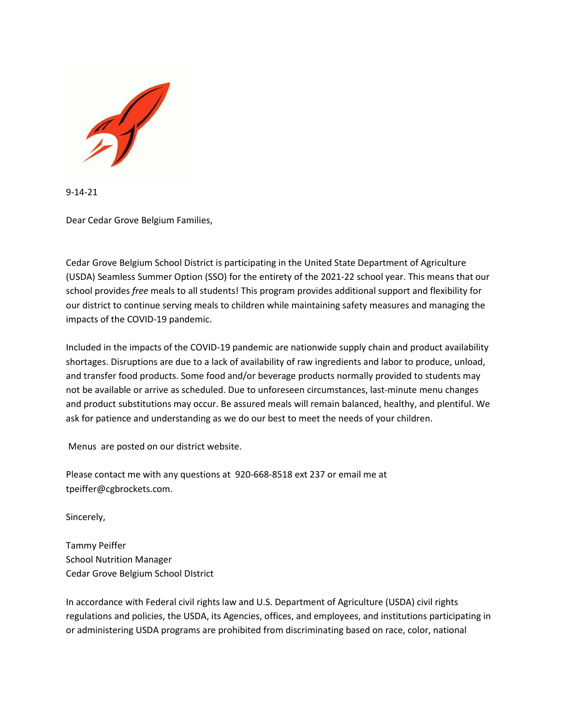

9-14-21

Dear Cedar Grove Belgium Families,

Cedar Grove Belgium School District is participating in the United State Department of Agriculture (USDA) Seamless Summer Option (SSO) for the entirety of the 2021-22 school year. This means that our school provides *free* meals to all students! This program provides additional support and flexibility for our district to continue serving meals to children while maintaining safety measures and managing the impacts of the COVID-19 pandemic.

Included in the impacts of the COVID-19 pandemic are nationwide supply chain and product availability shortages. Disruptions are due to a lack of availability of raw ingredients and labor to produce, unload, and transfer food products. Some food and/or beverage products normally provided to students may not be available or arrive as scheduled. Due to unforeseen circumstances, last-minute menu changes and product substitutions may occur. Be assured meals will remain balanced, healthy, and plentiful. We ask for patience and understanding as we do our best to meet the needs of your children.

Menus are posted on our district website.

Please contact me with any questions at 920-668-8518 ext 237 or email me at tpeiffer@cgbrockets.com.

Sincerely,

Tammy Peiffer School Nutrition Manager Cedar Grove Belgium School DIstrict

In accordance with Federal civil rights law and U.S. Department of Agriculture (USDA) civil rights regulations and policies, the USDA, its Agencies, offices, and employees, and institutions participating in or administering USDA programs are prohibited from discriminating based on race, color, national